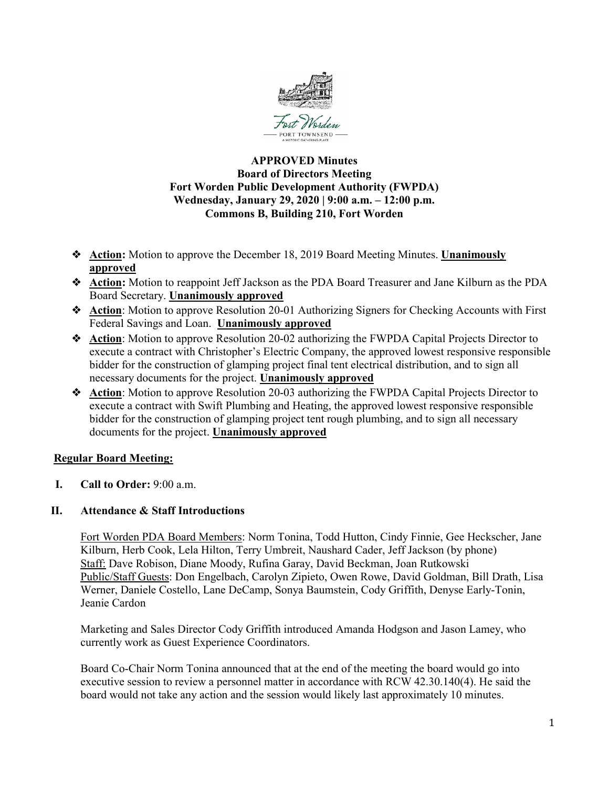

## **APPROVED Minutes Board of Directors Meeting Fort Worden Public Development Authority (FWPDA) Wednesday, January 29, 2020 | 9:00 a.m. – 12:00 p.m. Commons B, Building 210, Fort Worden**

- ❖ **Action:** Motion to approve the December 18, 2019 Board Meeting Minutes. **Unanimously approved**
- ❖ **Action:** Motion to reappoint Jeff Jackson as the PDA Board Treasurer and Jane Kilburn as the PDA Board Secretary. **Unanimously approved**
- ❖ **Action**: Motion to approve Resolution 20-01 Authorizing Signers for Checking Accounts with First Federal Savings and Loan. **Unanimously approved**
- ❖ **Action**: Motion to approve Resolution 20-02 authorizing the FWPDA Capital Projects Director to execute a contract with Christopher's Electric Company, the approved lowest responsive responsible bidder for the construction of glamping project final tent electrical distribution, and to sign all necessary documents for the project. **Unanimously approved**
- ❖ **Action**: Motion to approve Resolution 20-03 authorizing the FWPDA Capital Projects Director to execute a contract with Swift Plumbing and Heating, the approved lowest responsive responsible bidder for the construction of glamping project tent rough plumbing, and to sign all necessary documents for the project. **Unanimously approved**

# **Regular Board Meeting:**

**I. Call to Order:** 9:00 a.m.

### **II. Attendance & Staff Introductions**

Fort Worden PDA Board Members: Norm Tonina, Todd Hutton, Cindy Finnie, Gee Heckscher, Jane Kilburn, Herb Cook, Lela Hilton, Terry Umbreit, Naushard Cader, Jeff Jackson (by phone) Staff: Dave Robison, Diane Moody, Rufina Garay, David Beckman, Joan Rutkowski Public/Staff Guests: Don Engelbach, Carolyn Zipieto, Owen Rowe, David Goldman, Bill Drath, Lisa Werner, Daniele Costello, Lane DeCamp, Sonya Baumstein, Cody Griffith, Denyse Early-Tonin, Jeanie Cardon

Marketing and Sales Director Cody Griffith introduced Amanda Hodgson and Jason Lamey, who currently work as Guest Experience Coordinators.

Board Co-Chair Norm Tonina announced that at the end of the meeting the board would go into executive session to review a personnel matter in accordance with RCW 42.30.140(4). He said the board would not take any action and the session would likely last approximately 10 minutes.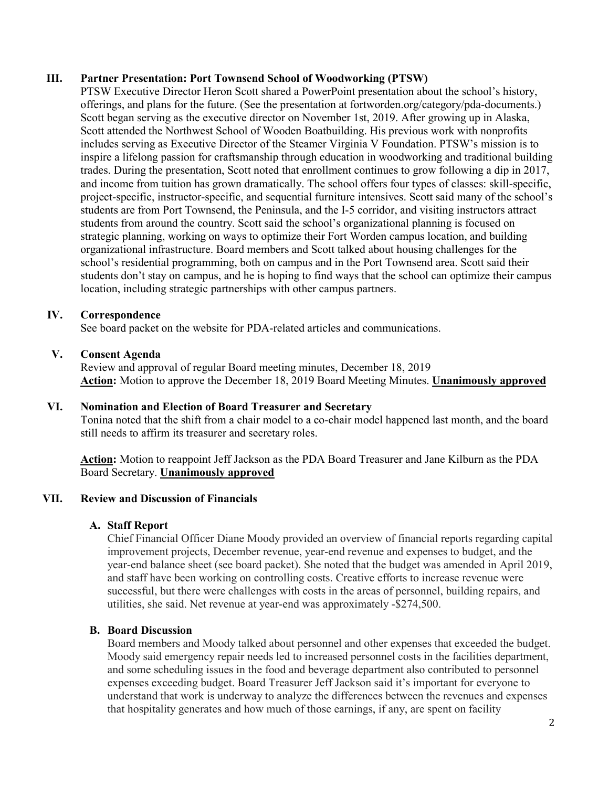### **III. Partner Presentation: Port Townsend School of Woodworking (PTSW)**

PTSW Executive Director Heron Scott shared a PowerPoint presentation about the school's history, offerings, and plans for the future. (See the presentation at fortworden.org/category/pda-documents.) Scott began serving as the executive director on November 1st, 2019. After growing up in Alaska, Scott attended the Northwest School of Wooden Boatbuilding. His previous work with nonprofits includes serving as Executive Director of the Steamer Virginia V Foundation. PTSW's mission is to inspire a lifelong passion for craftsmanship through education in woodworking and traditional building trades. During the presentation, Scott noted that enrollment continues to grow following a dip in 2017, and income from tuition has grown dramatically. The school offers four types of classes: skill-specific, project-specific, instructor-specific, and sequential furniture intensives. Scott said many of the school's students are from Port Townsend, the Peninsula, and the I-5 corridor, and visiting instructors attract students from around the country. Scott said the school's organizational planning is focused on strategic planning, working on ways to optimize their Fort Worden campus location, and building organizational infrastructure. Board members and Scott talked about housing challenges for the school's residential programming, both on campus and in the Port Townsend area. Scott said their students don't stay on campus, and he is hoping to find ways that the school can optimize their campus location, including strategic partnerships with other campus partners.

### **IV. Correspondence**

See board packet on the website for PDA-related articles and communications.

### **V. Consent Agenda**

Review and approval of regular Board meeting minutes, December 18, 2019 **Action:** Motion to approve the December 18, 2019 Board Meeting Minutes. **Unanimously approved**

### **VI. Nomination and Election of Board Treasurer and Secretary**

Tonina noted that the shift from a chair model to a co-chair model happened last month, and the board still needs to affirm its treasurer and secretary roles.

**Action:** Motion to reappoint Jeff Jackson as the PDA Board Treasurer and Jane Kilburn as the PDA Board Secretary. **Unanimously approved**

#### **VII. Review and Discussion of Financials**

#### **A. Staff Report**

Chief Financial Officer Diane Moody provided an overview of financial reports regarding capital improvement projects, December revenue, year-end revenue and expenses to budget, and the year-end balance sheet (see board packet). She noted that the budget was amended in April 2019, and staff have been working on controlling costs. Creative efforts to increase revenue were successful, but there were challenges with costs in the areas of personnel, building repairs, and utilities, she said. Net revenue at year-end was approximately -\$274,500.

### **B. Board Discussion**

Board members and Moody talked about personnel and other expenses that exceeded the budget. Moody said emergency repair needs led to increased personnel costs in the facilities department, and some scheduling issues in the food and beverage department also contributed to personnel expenses exceeding budget. Board Treasurer Jeff Jackson said it's important for everyone to understand that work is underway to analyze the differences between the revenues and expenses that hospitality generates and how much of those earnings, if any, are spent on facility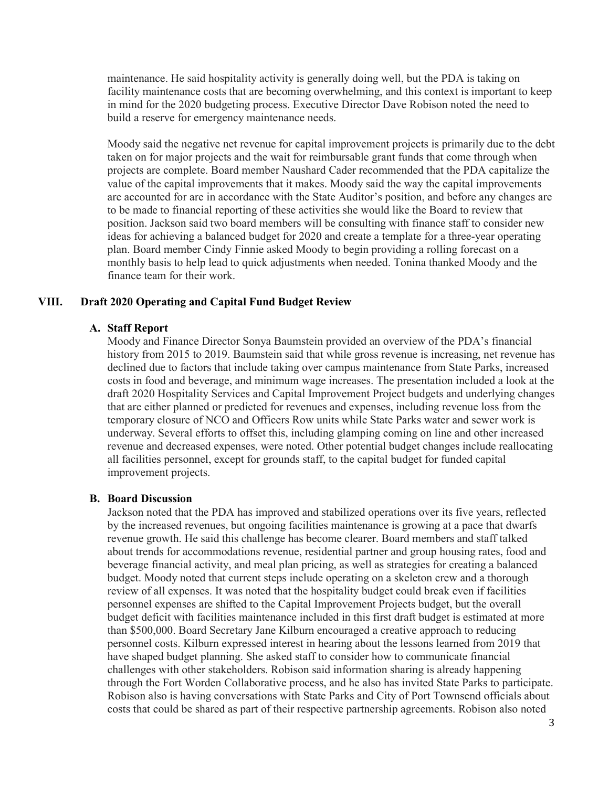maintenance. He said hospitality activity is generally doing well, but the PDA is taking on facility maintenance costs that are becoming overwhelming, and this context is important to keep in mind for the 2020 budgeting process. Executive Director Dave Robison noted the need to build a reserve for emergency maintenance needs.

Moody said the negative net revenue for capital improvement projects is primarily due to the debt taken on for major projects and the wait for reimbursable grant funds that come through when projects are complete. Board member Naushard Cader recommended that the PDA capitalize the value of the capital improvements that it makes. Moody said the way the capital improvements are accounted for are in accordance with the State Auditor's position, and before any changes are to be made to financial reporting of these activities she would like the Board to review that position. Jackson said two board members will be consulting with finance staff to consider new ideas for achieving a balanced budget for 2020 and create a template for a three-year operating plan. Board member Cindy Finnie asked Moody to begin providing a rolling forecast on a monthly basis to help lead to quick adjustments when needed. Tonina thanked Moody and the finance team for their work.

#### **VIII. Draft 2020 Operating and Capital Fund Budget Review**

#### **A. Staff Report**

Moody and Finance Director Sonya Baumstein provided an overview of the PDA's financial history from 2015 to 2019. Baumstein said that while gross revenue is increasing, net revenue has declined due to factors that include taking over campus maintenance from State Parks, increased costs in food and beverage, and minimum wage increases. The presentation included a look at the draft 2020 Hospitality Services and Capital Improvement Project budgets and underlying changes that are either planned or predicted for revenues and expenses, including revenue loss from the temporary closure of NCO and Officers Row units while State Parks water and sewer work is underway. Several efforts to offset this, including glamping coming on line and other increased revenue and decreased expenses, were noted. Other potential budget changes include reallocating all facilities personnel, except for grounds staff, to the capital budget for funded capital improvement projects.

#### **B. Board Discussion**

Jackson noted that the PDA has improved and stabilized operations over its five years, reflected by the increased revenues, but ongoing facilities maintenance is growing at a pace that dwarfs revenue growth. He said this challenge has become clearer. Board members and staff talked about trends for accommodations revenue, residential partner and group housing rates, food and beverage financial activity, and meal plan pricing, as well as strategies for creating a balanced budget. Moody noted that current steps include operating on a skeleton crew and a thorough review of all expenses. It was noted that the hospitality budget could break even if facilities personnel expenses are shifted to the Capital Improvement Projects budget, but the overall budget deficit with facilities maintenance included in this first draft budget is estimated at more than \$500,000. Board Secretary Jane Kilburn encouraged a creative approach to reducing personnel costs. Kilburn expressed interest in hearing about the lessons learned from 2019 that have shaped budget planning. She asked staff to consider how to communicate financial challenges with other stakeholders. Robison said information sharing is already happening through the Fort Worden Collaborative process, and he also has invited State Parks to participate. Robison also is having conversations with State Parks and City of Port Townsend officials about costs that could be shared as part of their respective partnership agreements. Robison also noted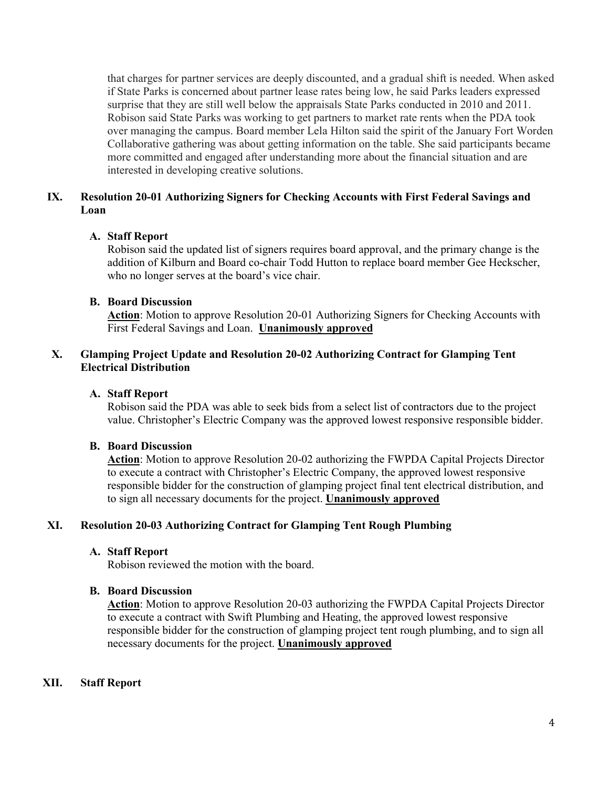that charges for partner services are deeply discounted, and a gradual shift is needed. When asked if State Parks is concerned about partner lease rates being low, he said Parks leaders expressed surprise that they are still well below the appraisals State Parks conducted in 2010 and 2011. Robison said State Parks was working to get partners to market rate rents when the PDA took over managing the campus. Board member Lela Hilton said the spirit of the January Fort Worden Collaborative gathering was about getting information on the table. She said participants became more committed and engaged after understanding more about the financial situation and are interested in developing creative solutions.

# **IX. Resolution 20-01 Authorizing Signers for Checking Accounts with First Federal Savings and Loan**

### **A. Staff Report**

Robison said the updated list of signers requires board approval, and the primary change is the addition of Kilburn and Board co-chair Todd Hutton to replace board member Gee Heckscher, who no longer serves at the board's vice chair.

### **B. Board Discussion**

Action: Motion to approve Resolution 20-01 Authorizing Signers for Checking Accounts with First Federal Savings and Loan. **Unanimously approved**

### **X. Glamping Project Update and Resolution 20-02 Authorizing Contract for Glamping Tent Electrical Distribution**

### **A. Staff Report**

Robison said the PDA was able to seek bids from a select list of contractors due to the project value. Christopher's Electric Company was the approved lowest responsive responsible bidder.

#### **B. Board Discussion**

**Action**: Motion to approve Resolution 20-02 authorizing the FWPDA Capital Projects Director to execute a contract with Christopher's Electric Company, the approved lowest responsive responsible bidder for the construction of glamping project final tent electrical distribution, and to sign all necessary documents for the project. **Unanimously approved**

#### **XI. Resolution 20-03 Authorizing Contract for Glamping Tent Rough Plumbing**

### **A. Staff Report**

Robison reviewed the motion with the board.

#### **B. Board Discussion**

**Action**: Motion to approve Resolution 20-03 authorizing the FWPDA Capital Projects Director to execute a contract with Swift Plumbing and Heating, the approved lowest responsive responsible bidder for the construction of glamping project tent rough plumbing, and to sign all necessary documents for the project. **Unanimously approved**

#### **XII. Staff Report**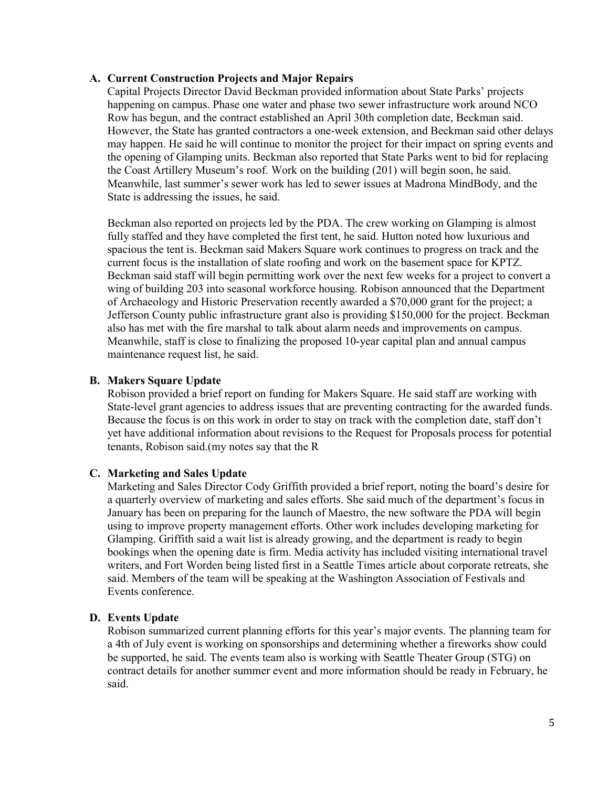#### **A. Current Construction Projects and Major Repairs**

Capital Projects Director David Beckman provided information about State Parks' projects happening on campus. Phase one water and phase two sewer infrastructure work around NCO Row has begun, and the contract established an April 30th completion date, Beckman said. However, the State has granted contractors a one-week extension, and Beckman said other delays may happen. He said he will continue to monitor the project for their impact on spring events and the opening of Glamping units. Beckman also reported that State Parks went to bid for replacing the Coast Artillery Museum's roof. Work on the building (201) will begin soon, he said. Meanwhile, last summer's sewer work has led to sewer issues at Madrona MindBody, and the State is addressing the issues, he said.

Beckman also reported on projects led by the PDA. The crew working on Glamping is almost fully staffed and they have completed the first tent, he said. Hutton noted how luxurious and spacious the tent is. Beckman said Makers Square work continues to progress on track and the current focus is the installation of slate roofing and work on the basement space for KPTZ. Beckman said staff will begin permitting work over the next few weeks for a project to convert a wing of building 203 into seasonal workforce housing. Robison announced that the Department of Archaeology and Historic Preservation recently awarded a \$70,000 grant for the project; a Jefferson County public infrastructure grant also is providing \$150,000 for the project. Beckman also has met with the fire marshal to talk about alarm needs and improvements on campus. Meanwhile, staff is close to finalizing the proposed 10-year capital plan and annual campus maintenance request list, he said.

#### **B. Makers Square Update**

Robison provided a brief report on funding for Makers Square. He said staff are working with State-level grant agencies to address issues that are preventing contracting for the awarded funds. Because the focus is on this work in order to stay on track with the completion date, staff don't yet have additional information about revisions to the Request for Proposals process for potential tenants, Robison said.(my notes say that the R

#### **C. Marketing and Sales Update**

Marketing and Sales Director Cody Griffith provided a brief report, noting the board's desire for a quarterly overview of marketing and sales efforts. She said much of the department's focus in January has been on preparing for the launch of Maestro, the new software the PDA will begin using to improve property management efforts. Other work includes developing marketing for Glamping. Griffith said a wait list is already growing, and the department is ready to begin bookings when the opening date is firm. Media activity has included visiting international travel writers, and Fort Worden being listed first in a Seattle Times article about corporate retreats, she said. Members of the team will be speaking at the Washington Association of Festivals and Events conference.

#### **D. Events Update**

Robison summarized current planning efforts for this year's major events. The planning team for a 4th of July event is working on sponsorships and determining whether a fireworks show could be supported, he said. The events team also is working with Seattle Theater Group (STG) on contract details for another summer event and more information should be ready in February, he said.